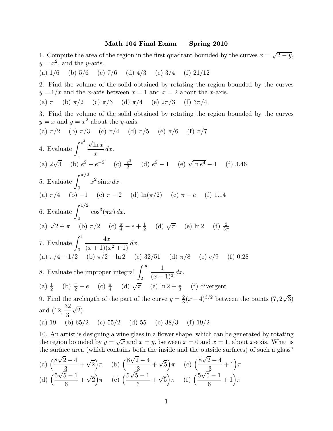## Math 104 Final Exam — Spring 2010

1. Compute the area of the region in the first quadrant bounded by the curves  $x = \sqrt{2-y}$ ,  $y = x^2$ , and the y-axis.

(a)  $1/6$  (b)  $5/6$  (c)  $7/6$  (d)  $4/3$  (e)  $3/4$  (f)  $21/12$ 

2. Find the volume of the solid obtained by rotating the region bounded by the curves  $y = 1/x$  and the x-axis between  $x = 1$  and  $x = 2$  about the x-axis.

(a)  $\pi$  (b)  $\pi/2$  (c)  $\pi/3$  (d)  $\pi/4$  (e)  $2\pi/3$  (f)  $3\pi/4$ 

3. Find the volume of the solid obtained by rotating the region bounded by the curves  $y = x$  and  $y = x^2$  about the y-axis.

(a) 
$$
\pi/2
$$
 (b)  $\pi/3$  (c)  $\pi/4$  (d)  $\pi/5$  (e)  $\pi/6$  (f)  $\pi/7$   
\n4. Evaluate  $\int_{1}^{e^3} \frac{\sqrt{\ln x}}{x} dx$ .  
\n(a)  $2\sqrt{3}$  (b)  $e^2 - e^{-2}$  (c)  $\frac{e^2}{3}$  (d)  $e^2 - 1$  (e)  $\sqrt{\ln e^4} - 1$  (f) 3.46  
\n5. Evaluate  $\int_{0}^{\pi/2} x^2 \sin x dx$ .  
\n(a)  $\pi/4$  (b) -1 (c)  $\pi - 2$  (d)  $\ln(\pi/2)$  (e)  $\pi - e$  (f) 1.14  
\n6. Evaluate  $\int_{0}^{1/2} \cos^3(\pi x) dx$ .  
\n(a)  $\sqrt{2} + \pi$  (b)  $\pi/2$  (c)  $\frac{\pi}{4} - e + \frac{1}{2}$  (d)  $\sqrt{\pi}$  (e)  $\ln 2$  (f)  $\frac{2}{3\pi}$   
\n7. Evaluate  $\int_{0}^{1} \frac{4x}{(x+1)(x^2+1)} dx$ .  
\n(a)  $\pi/4 - 1/2$  (b)  $\pi/2 - \ln 2$  (c)  $32/51$  (d)  $\pi/8$  (e)  $e/9$  (f) 0.28  
\n8. Evaluate the improper integral  $\int_{2}^{\infty} \frac{1}{(x-1)^3} dx$ .  
\n(a)  $\frac{1}{2}$  (b)  $\frac{\pi}{2} - e$  (c)  $\frac{\pi}{4}$  (d)  $\sqrt{\pi}$  (e)  $\ln 2 + \frac{1}{3}$  (f) divergent  
\n9. Find the arclength of the part of the curve  $y = \frac{2}{3}(x-4)^{3/2}$  between the points (7, 2)

 $\sqrt{3}$ and (12, 32 3  $\sqrt{2}$ ). (a) 19 (b)  $65/2$  (c)  $55/2$  (d)  $55$  (e)  $38/3$  (f)  $19/2$ 

10. An artist is designing a wine glass in a flower shape, which can be generated by rotating the region bounded by  $y = \sqrt{x}$  and  $x = y$ , between  $x = 0$  and  $x = 1$ , about x-axis. What is the surface area (which contains both the inside and the outside surfaces) of such a glass?

(a) 
$$
\left(\frac{8\sqrt{2}-4}{3} + \sqrt{2}\right)\pi
$$
 (b)  $\left(\frac{8\sqrt{2}-4}{3} + \sqrt{5}\right)\pi$  (c)  $\left(\frac{8\sqrt{2}-4}{3} + 1\right)\pi$   
(d)  $\left(\frac{5\sqrt{5}-1}{6} + \sqrt{2}\right)\pi$  (e)  $\left(\frac{5\sqrt{5}-1}{6} + \sqrt{5}\right)\pi$  (f)  $\left(\frac{5\sqrt{5}-1}{6} + 1\right)\pi$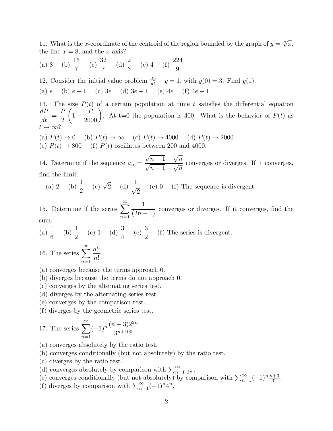11. What is the x-coordinate of the centroid of the region bounded by the graph of  $y = \sqrt[3]{x}$ , the line  $x = 8$ , and the x-axis?

(a) 8 (b)  $\frac{16}{7}$ 7  $(c) \frac{32}{7}$ 7 (d)  $\frac{2}{2}$ 3 (e) 4 (f)  $\frac{224}{9}$ 9

12. Consider the initial value problem  $\frac{dy}{dt} - y = 1$ , with  $y(0) = 3$ . Find  $y(1)$ . (a) e (b) e − 1 (c) 3e (d) 3e − 1 (e) 4e (f) 4e − 1

13. The size  $P(t)$  of a certain population at time t satisfies the differential equation  $dP$  $\frac{d}{dt} =$ P 2  $\sqrt{ }$  $1 \left(\frac{P}{2000}\right)$ . At t=0 the population is 400. What is the behavior of  $P(t)$  as  $t\to\infty$ ?

(a)  $P(t) \rightarrow 0$  (b)  $P(t) \rightarrow \infty$  (c)  $P(t) \rightarrow 4000$  (d)  $P(t) \rightarrow 2000$ (e)  $P(t) \rightarrow 800$  (f)  $P(t)$  oscillates between 200 and 4000.

14. Determine if the sequence  $a_n =$  $\sqrt{n+1} - \sqrt{n}$  $\sqrt{n+1} + \sqrt{n}$ converges or diverges. If it converges, find the limit.

(a) 2 (b) 
$$
\frac{1}{2}
$$
 (c)  $\sqrt{2}$  (d)  $\frac{1}{\sqrt{2}}$  (e) 0 (f) The sequence is divergent.

15. Determine if the series  $\sum_{n=1}^{\infty}$  $n=1$ 1  $\frac{1}{(2n-1)}$  converges or diverges. If it converges, find the sum.

(a) 
$$
\frac{1}{6}
$$
 (b)  $\frac{1}{2}$  (c) 1 (d)  $\frac{3}{4}$  (e)  $\frac{3}{2}$  (f) The series is divergent.

16. The series  $\sum_{n=1}^{\infty}$  $n=1$  $n^n$ n!

- (a) converges because the terms approach 0.
- (b) diverges because the terms do not approach 0.
- (c) converges by the alternating series test.
- (d) diverges by the alternating series test.
- (e) converges by the comparison test.
- (f) diverges by the geometric series test.

17. The series 
$$
\sum_{n=1}^{\infty} (-1)^n \frac{(n+3)2^{2n}}{3^{n+100}}
$$

- (a) converges absolutely by the ratio test.
- (b) converges conditionally (but not absolutely) by the ratio test.
- (c) diverges by the ratio test.
- (d) converges absolutely by comparison with  $\sum_{n=1}^{\infty}$  $\frac{1}{3^n}$ .
- (e) converges conditionally (but not absolutely) by comparison with  $\sum_{n=1}^{\infty}(-1)^n\frac{n+3}{3^n}$ .
- (f) diverges by comparison with  $\sum_{n=1}^{\infty}(-1)^n 4^n$ .